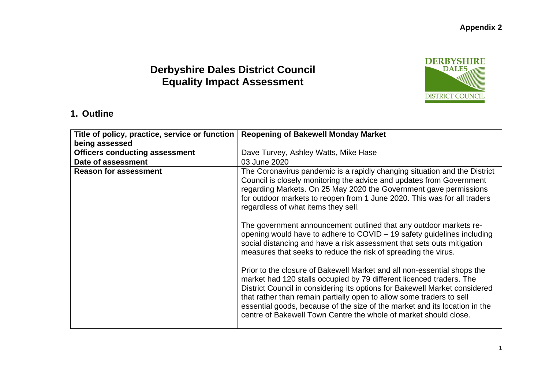## **Derbyshire Dales District Council Equality Impact Assessment**



### **1. Outline**

| Title of policy, practice, service or function<br>being assessed | <b>Reopening of Bakewell Monday Market</b>                                                                                                                                                                                                                                                                                                                                                                                                                                                                                                                                                                                                                                                                                                                                                                                                                                                                                                                                                                                                                                                      |
|------------------------------------------------------------------|-------------------------------------------------------------------------------------------------------------------------------------------------------------------------------------------------------------------------------------------------------------------------------------------------------------------------------------------------------------------------------------------------------------------------------------------------------------------------------------------------------------------------------------------------------------------------------------------------------------------------------------------------------------------------------------------------------------------------------------------------------------------------------------------------------------------------------------------------------------------------------------------------------------------------------------------------------------------------------------------------------------------------------------------------------------------------------------------------|
| <b>Officers conducting assessment</b>                            | Dave Turvey, Ashley Watts, Mike Hase                                                                                                                                                                                                                                                                                                                                                                                                                                                                                                                                                                                                                                                                                                                                                                                                                                                                                                                                                                                                                                                            |
| Date of assessment<br>03 June 2020                               |                                                                                                                                                                                                                                                                                                                                                                                                                                                                                                                                                                                                                                                                                                                                                                                                                                                                                                                                                                                                                                                                                                 |
| <b>Reason for assessment</b>                                     | The Coronavirus pandemic is a rapidly changing situation and the District<br>Council is closely monitoring the advice and updates from Government<br>regarding Markets. On 25 May 2020 the Government gave permissions<br>for outdoor markets to reopen from 1 June 2020. This was for all traders<br>regardless of what items they sell.<br>The government announcement outlined that any outdoor markets re-<br>opening would have to adhere to COVID – 19 safety guidelines including<br>social distancing and have a risk assessment that sets outs mitigation<br>measures that seeks to reduce the risk of spreading the virus.<br>Prior to the closure of Bakewell Market and all non-essential shops the<br>market had 120 stalls occupied by 79 different licenced traders. The<br>District Council in considering its options for Bakewell Market considered<br>that rather than remain partially open to allow some traders to sell<br>essential goods, because of the size of the market and its location in the<br>centre of Bakewell Town Centre the whole of market should close. |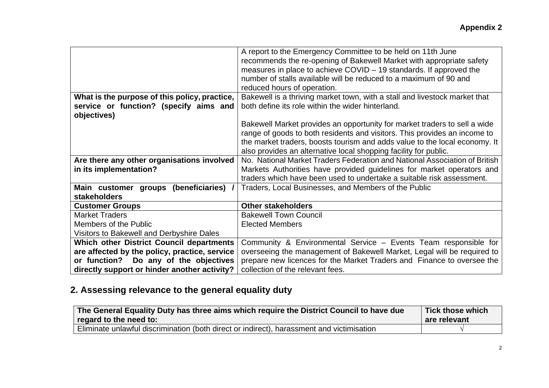|                                                 | A report to the Emergency Committee to be held on 11th June                |
|-------------------------------------------------|----------------------------------------------------------------------------|
|                                                 | recommends the re-opening of Bakewell Market with appropriate safety       |
|                                                 | measures in place to achieve COVID – 19 standards. If approved the         |
|                                                 | number of stalls available will be reduced to a maximum of 90 and          |
|                                                 | reduced hours of operation.                                                |
| What is the purpose of this policy, practice,   | Bakewell is a thriving market town, with a stall and livestock market that |
| service or function? (specify aims and          | both define its role within the wider hinterland.                          |
| objectives)                                     |                                                                            |
|                                                 |                                                                            |
|                                                 | Bakewell Market provides an opportunity for market traders to sell a wide  |
|                                                 | range of goods to both residents and visitors. This provides an income to  |
|                                                 | the market traders, boosts tourism and adds value to the local economy. It |
|                                                 | also provides an alternative local shopping facility for public.           |
| Are there any other organisations involved      | No. National Market Traders Federation and National Association of British |
| in its implementation?                          | Markets Authorities have provided guidelines for market operators and      |
|                                                 | traders which have been used to undertake a suitable risk assessment.      |
| Main customer groups (beneficiaries) /          | Traders, Local Businesses, and Members of the Public                       |
| stakeholders                                    |                                                                            |
| <b>Customer Groups</b>                          | <b>Other stakeholders</b>                                                  |
| <b>Market Traders</b>                           | <b>Bakewell Town Council</b>                                               |
| Members of the Public                           | <b>Elected Members</b>                                                     |
| Visitors to Bakewell and Derbyshire Dales       |                                                                            |
| <b>Which other District Council departments</b> | Community & Environmental Service - Events Team responsible for            |
| are affected by the policy, practice, service   | overseeing the management of Bakewell Market, Legal will be required to    |
| or function? Do any of the objectives           | prepare new licences for the Market Traders and Finance to oversee the     |
| directly support or hinder another activity?    | collection of the relevant fees.                                           |
|                                                 |                                                                            |

# **2. Assessing relevance to the general equality duty**

| The General Equality Duty has three aims which require the District Council to have due   | Tick those which |
|-------------------------------------------------------------------------------------------|------------------|
| regard to the need to:                                                                    | are relevant     |
| Eliminate unlawful discrimination (both direct or indirect), harassment and victimisation |                  |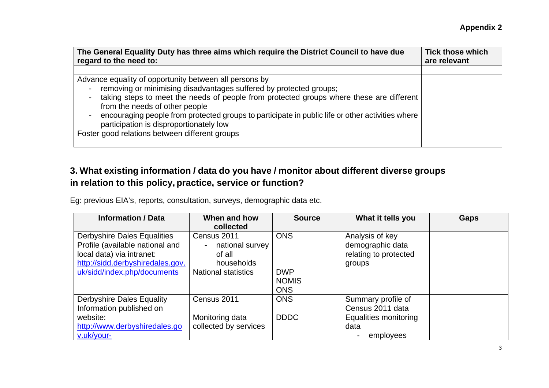| The General Equality Duty has three aims which require the District Council to have due          | <b>Tick those which</b> |
|--------------------------------------------------------------------------------------------------|-------------------------|
| regard to the need to:                                                                           | are relevant            |
|                                                                                                  |                         |
| Advance equality of opportunity between all persons by                                           |                         |
| removing or minimising disadvantages suffered by protected groups;                               |                         |
| taking steps to meet the needs of people from protected groups where these are different         |                         |
| from the needs of other people                                                                   |                         |
| encouraging people from protected groups to participate in public life or other activities where |                         |
| participation is disproportionately low                                                          |                         |
| Foster good relations between different groups                                                   |                         |
|                                                                                                  |                         |

## **3. What existing information / data do you have / monitor about different diverse groups in relation to this policy, practice, service or function?**

Eg: previous EIA's, reports, consultation, surveys, demographic data etc.

| <b>Information / Data</b>                                                                                                                                             | When and how<br>collected                                                            | <b>Source</b>                                          | What it tells you                                                       | <b>Gaps</b> |
|-----------------------------------------------------------------------------------------------------------------------------------------------------------------------|--------------------------------------------------------------------------------------|--------------------------------------------------------|-------------------------------------------------------------------------|-------------|
| <b>Derbyshire Dales Equalities</b><br>Profile (available national and<br>local data) via intranet:<br>http://sidd.derbyshiredales.gov.<br>uk/sidd/index.php/documents | Census 2011<br>national survey<br>of all<br>households<br><b>National statistics</b> | <b>ONS</b><br><b>DWP</b><br><b>NOMIS</b><br><b>ONS</b> | Analysis of key<br>demographic data<br>relating to protected<br>groups  |             |
| <b>Derbyshire Dales Equality</b><br>Information published on<br>website:<br>http://www.derbyshiredales.go                                                             | Census 2011<br>Monitoring data<br>collected by services                              | <b>ONS</b><br><b>DDDC</b>                              | Summary profile of<br>Census 2011 data<br>Equalities monitoring<br>data |             |
| v.uk/your-                                                                                                                                                            |                                                                                      |                                                        | employees                                                               |             |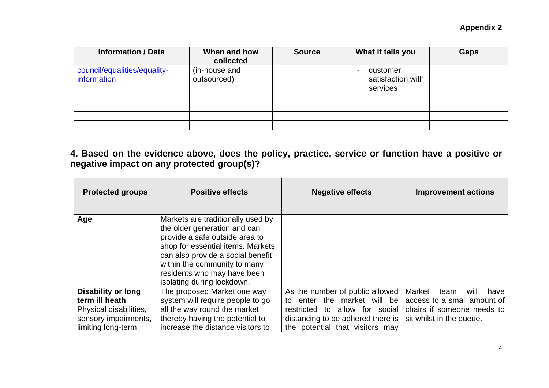| <b>Information / Data</b>                   | When and how<br>collected    | <b>Source</b> | What it tells you                         | <b>Gaps</b> |
|---------------------------------------------|------------------------------|---------------|-------------------------------------------|-------------|
| council/equalities/equality-<br>information | (in-house and<br>outsourced) |               | customer<br>satisfaction with<br>services |             |
|                                             |                              |               |                                           |             |
|                                             |                              |               |                                           |             |
|                                             |                              |               |                                           |             |
|                                             |                              |               |                                           |             |

### **4. Based on the evidence above, does the policy, practice, service or function have a positive or negative impact on any protected group(s)?**

| <b>Protected groups</b>                                              | <b>Positive effects</b>                                                                                                                                                                                                                                                    | <b>Negative effects</b>                                                                                | <b>Improvement actions</b>                                    |
|----------------------------------------------------------------------|----------------------------------------------------------------------------------------------------------------------------------------------------------------------------------------------------------------------------------------------------------------------------|--------------------------------------------------------------------------------------------------------|---------------------------------------------------------------|
| Age                                                                  | Markets are traditionally used by<br>the older generation and can<br>provide a safe outside area to<br>shop for essential items. Markets<br>can also provide a social benefit<br>within the community to many<br>residents who may have been<br>isolating during lockdown. |                                                                                                        |                                                               |
| <b>Disability or long</b><br>term ill heath                          | The proposed Market one way<br>system will require people to go                                                                                                                                                                                                            | As the number of public allowed<br>the market will be<br>enter<br>t∩                                   | Market<br>have<br>team<br>will<br>access to a small amount of |
| Physical disabilities,<br>sensory impairments,<br>limiting long-term | all the way round the market<br>thereby having the potential to<br>increase the distance visitors to                                                                                                                                                                       | restricted to allow for social<br>distancing to be adhered there is<br>the potential that visitors may | chairs if someone needs to<br>sit whilst in the queue.        |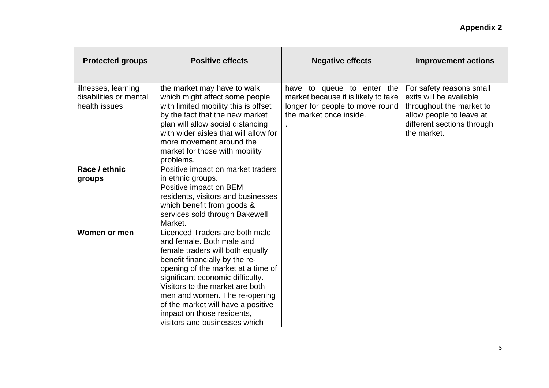| <b>Protected groups</b>                                        | <b>Positive effects</b>                                                                                                                                                                                                                                                                                                                                                              | <b>Negative effects</b>                                                                                                         | <b>Improvement actions</b>                                                                                                                               |
|----------------------------------------------------------------|--------------------------------------------------------------------------------------------------------------------------------------------------------------------------------------------------------------------------------------------------------------------------------------------------------------------------------------------------------------------------------------|---------------------------------------------------------------------------------------------------------------------------------|----------------------------------------------------------------------------------------------------------------------------------------------------------|
| illnesses, learning<br>disabilities or mental<br>health issues | the market may have to walk<br>which might affect some people<br>with limited mobility this is offset<br>by the fact that the new market<br>plan will allow social distancing<br>with wider aisles that will allow for<br>more movement around the<br>market for those with mobility<br>problems.                                                                                    | have to queue to enter the<br>market because it is likely to take<br>longer for people to move round<br>the market once inside. | For safety reasons small<br>exits will be available<br>throughout the market to<br>allow people to leave at<br>different sections through<br>the market. |
| Race / ethnic<br>groups                                        | Positive impact on market traders<br>in ethnic groups.<br>Positive impact on BEM<br>residents, visitors and businesses<br>which benefit from goods &<br>services sold through Bakewell<br>Market.                                                                                                                                                                                    |                                                                                                                                 |                                                                                                                                                          |
| Women or men                                                   | Licenced Traders are both male<br>and female. Both male and<br>female traders will both equally<br>benefit financially by the re-<br>opening of the market at a time of<br>significant economic difficulty.<br>Visitors to the market are both<br>men and women. The re-opening<br>of the market will have a positive<br>impact on those residents,<br>visitors and businesses which |                                                                                                                                 |                                                                                                                                                          |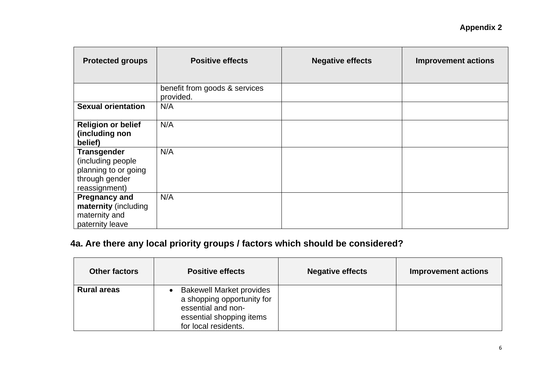| <b>Protected groups</b>                                                                             | <b>Positive effects</b>                    | <b>Negative effects</b> | <b>Improvement actions</b> |
|-----------------------------------------------------------------------------------------------------|--------------------------------------------|-------------------------|----------------------------|
|                                                                                                     | benefit from goods & services<br>provided. |                         |                            |
| <b>Sexual orientation</b>                                                                           | N/A                                        |                         |                            |
| <b>Religion or belief</b><br>(including non<br>belief)                                              | N/A                                        |                         |                            |
| <b>Transgender</b><br>(including people)<br>planning to or going<br>through gender<br>reassignment) | N/A                                        |                         |                            |
| <b>Pregnancy and</b><br>maternity (including<br>maternity and<br>paternity leave                    | N/A                                        |                         |                            |

# **4a. Are there any local priority groups / factors which should be considered?**

| <b>Other factors</b> | <b>Positive effects</b>                                                                                                                 | <b>Negative effects</b> | <b>Improvement actions</b> |
|----------------------|-----------------------------------------------------------------------------------------------------------------------------------------|-------------------------|----------------------------|
| <b>Rural areas</b>   | <b>Bakewell Market provides</b><br>a shopping opportunity for<br>essential and non-<br>essential shopping items<br>for local residents. |                         |                            |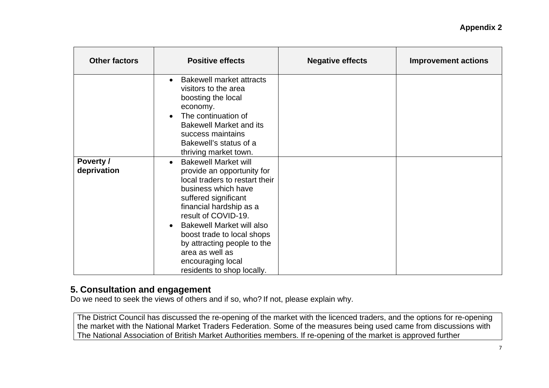| <b>Other factors</b>     | <b>Positive effects</b>                                                                                                                                                                                                                                                                                                                                                                       | <b>Negative effects</b> | <b>Improvement actions</b> |
|--------------------------|-----------------------------------------------------------------------------------------------------------------------------------------------------------------------------------------------------------------------------------------------------------------------------------------------------------------------------------------------------------------------------------------------|-------------------------|----------------------------|
|                          | <b>Bakewell market attracts</b><br>$\bullet$<br>visitors to the area<br>boosting the local<br>economy.<br>The continuation of<br>$\bullet$<br><b>Bakewell Market and its</b><br>success maintains<br>Bakewell's status of a<br>thriving market town.                                                                                                                                          |                         |                            |
| Poverty /<br>deprivation | <b>Bakewell Market will</b><br>$\bullet$<br>provide an opportunity for<br>local traders to restart their<br>business which have<br>suffered significant<br>financial hardship as a<br>result of COVID-19.<br><b>Bakewell Market will also</b><br>$\bullet$<br>boost trade to local shops<br>by attracting people to the<br>area as well as<br>encouraging local<br>residents to shop locally. |                         |                            |

### **5. Consultation and engagement**

Do we need to seek the views of others and if so, who? If not, please explain why.

The District Council has discussed the re-opening of the market with the licenced traders, and the options for re-opening the market with the National Market Traders Federation. Some of the measures being used came from discussions with The National Association of British Market Authorities members. If re-opening of the market is approved further